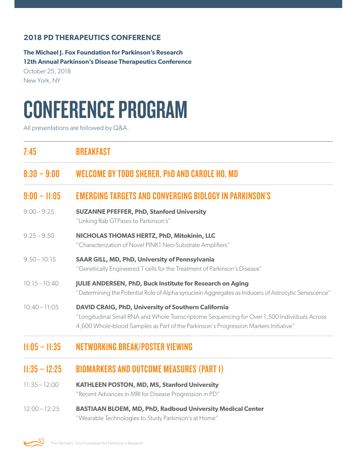#### **2018 PD THERAPEUTICS CONFERENCE**

**The Michael J. Fox Foundation for Parkinson's Research 12th Annual Parkinson's Disease Therapeutics Conference**

October 25, 2018 New York, NY

# CONFERENCE PROGRAM

All presentations are followed by Q&A.

| 7:45            | <b>BREAKFAST</b>                                                                                                                                                                                                                                   |
|-----------------|----------------------------------------------------------------------------------------------------------------------------------------------------------------------------------------------------------------------------------------------------|
| $8:30 - 9:00$   | <b>WELCOME BY TODD SHERER, PhD AND CAROLE HO, MD</b>                                                                                                                                                                                               |
| $9:00 - 11:05$  | <b>EMERGING TARGETS AND CONVERGING BIOLOGY IN PARKINSON'S</b>                                                                                                                                                                                      |
| $9:00 - 9:25$   | <b>SUZANNE PFEFFER, PhD, Stanford University</b><br>"Linking Rab GTPases to Parkinson's"                                                                                                                                                           |
| $9:25 - 9:50$   | NICHOLAS THOMAS HERTZ, PhD, Mitokinin, LLC<br>"Characterization of Novel PINK1 Neo-Substrate Amplifiers"                                                                                                                                           |
| $9:50 - 10:15$  | <b>SAAR GILL, MD, PhD, University of Pennsylvania</b><br>"Genetically Engineered T cells for the Treatment of Parkinson's Disease"                                                                                                                 |
| $10:15 - 10:40$ | <b>JULIE ANDERSEN, PhD, Buck Institute for Research on Aging</b><br>"Determining the Potential Role of Alpha-synuclein Aggregates as Inducers of Astrocytic Senescence"                                                                            |
| $10:40 - 11:05$ | <b>DAVID CRAIG, PhD, University of Southern California</b><br>"Longitudinal Small RNA and Whole Transcriptome Sequencing for Over 1,500 Individuals Across<br>4,600 Whole-blood Samples as Part of the Parkinson's Progression Markers Initiative" |
|                 |                                                                                                                                                                                                                                                    |

## 11:05 – 11:35 NETWORKING BREAK/POSTER VIEWING

### 11:35 – 12:25 BIOMARKERS AND OUTCOME MEASURES (PART 1)

- 11:35 12:00 **KATHLEEN POSTON, MD, MS, Stanford University** "Recent Advances in MRI for Disease Progression in PD"
- 12:00 12:25 **BASTIAAN BLOEM, MD, PhD, Radboud University Medical Center** "Wearable Technologies to Study Parkinson's at Home"